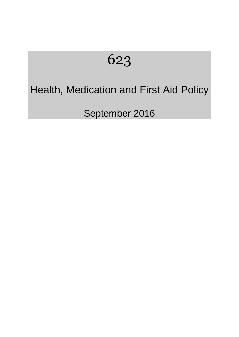# 623

# Health, Medication and First Aid Policy

September 2016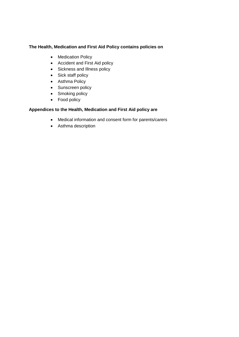# **The Health, Medication and First Aid Policy contains policies on**

- Medication Policy
- Accident and First Aid policy
- Sickness and Illness policy
- Sick staff policy
- Asthma Policy
- Sunscreen policy
- Smoking policy
- Food policy

# **Appendices to the Health, Medication and First Aid policy are**

- Medical information and consent form for parents/carers
- Asthma description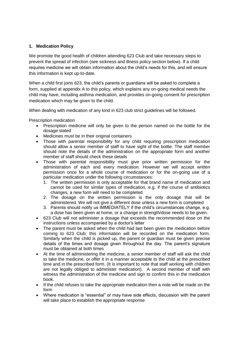# **1. Medication Policy**

We promote the good health of children attending 623 Club and take necessary steps to prevent the spread of infection (see sickness and illness policy section below). If a child requires medicine we will obtain information about the child's needs for this, and will ensure this information is kept up-to-date.

When a child first joins 623, the child's parents or guardians will be asked to complete a form, supplied at appendix A to this policy, which explains any on-going medical needs the child may have, including asthma medication, and provides on-going consent for prescription medication which may be given to the child.

When dealing with medication of any kind in 623 club strict guidelines will be followed.

Prescription medication

- Prescription medicine will only be given to the person named on the bottle for the dosage stated
- Medicines must be in their original containers
- Those with parental responsibility for any child requiring prescription medication should allow a senior member of staff to have sight of the bottle. The staff member should note the details of the administration on the appropriate form and another member of staff should check these details
- Those with parental responsibility must give prior written permission for the administration of each and every medication. However we will accept written permission once for a whole course of medication or for the on-going use of a particular medication under the following circumstances:
	- 1. The written permission is only acceptable for that brand name of medication and cannot be used for similar types of medication, e.g. if the course of antibiotics changes, a new form will need to be completed
	- 2. The dosage on the written permission is the only dosage that will be administered. We will not give a different dose unless a new form is completed
	- 3. Parents should notify us IMMEDIATELY if the child's circumstances change, e.g. a dose has been given at home, or a change in strength/dose needs to be given.
- 623 Club will not administer a dosage that exceeds the recommended dose on the instructions unless accompanied by a doctor's letter
- The parent must be asked when the child had last been given the medication before coming to 623 Club; this information will be recorded on the medication form. Similarly when the child is picked up, the parent or guardian must be given precise details of the times and dosage given throughout the day. The parent's signature must be obtained at both times
- At the time of administering the medicine, a senior member of staff will ask the child to take the medicine, or offer it in a manner acceptable to the child at the prescribed time and in the prescribed form. (It is important to note that staff working with children are not legally obliged to administer medication). A second member of staff with witness the administration of the medicine and sign to confirm this in the medication book.
- If the child refuses to take the appropriate medication then a note will be made on the form
- Where medication is "essential" or may have side effects, discussion with the parent will take place to establish the appropriate response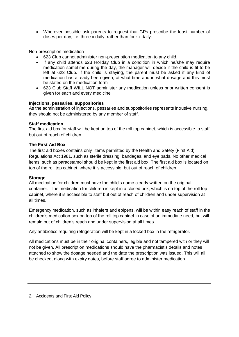• Wherever possible ask parents to request that GPs prescribe the least number of doses per day, i.e. three x daily, rather than four x daily.

Non-prescription medication

- 623 Club cannot administer non-prescription medication to any child.
- If any child attends 623 Holiday Club in a condition in which he/she may require medication sometime during the day, the manager will decide if the child is fit to be left at 623 Club. If the child is staying, the parent must be asked if any kind of medication has already been given, at what time and in what dosage and this must be stated on the medication form
- 623 Club Staff WILL NOT administer any medication unless prior written consent is given for each and every medicine

# **Injections, pessaries, suppositories**

As the administration of injections, pessaries and suppositories represents intrusive nursing, they should not be administered by any member of staff.

# **Staff medication**

The first aid box for staff will be kept on top of the roll top cabinet, which is accessible to staff but out of reach of children

# **The First Aid Box**

The first aid boxes contains only items permitted by the Health and Safety (First Aid) Regulations Act 1981, such as sterile dressing, bandages, and eye pads. No other medical items, such as paracetamol should be kept in the first aid box. The first aid box is located on top of the roll top cabinet, where it is accessible, but out of reach of children.

# **Storage**

All medication for children must have the child's name clearly written on the original container. The medication for children is kept in a closed box, which is on top of the roll top cabinet, where it is accessible to staff but out of reach of children and under supervision at all times.

Emergency medication, such as inhalers and epipens, will be within easy reach of staff in the children's medication box on top of the roll top cabinet in case of an immediate need, but will remain out of children's reach and under supervision at all times.

Any antibiotics requiring refrigeration will be kept in a locked box in the refrigerator.

All medications must be in their original containers, legible and not tampered with or they will not be given. All prescription medications should have the pharmacist's details and notes attached to show the dosage needed and the date the prescription was issued. This will all be checked, along with expiry dates, before staff agree to administer medication.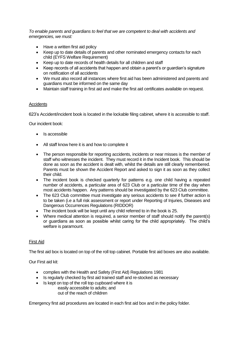*To enable parents and guardians to feel that we are competent to deal with accidents and emergencies, we must:*

- Have a written first aid policy
- Keep up to date details of parents and other nominated emergency contacts for each child (EYFS Welfare Requirement)
- Keep up to date records of health details for all children and staff
- Keep records of all accidents that happen and obtain a parent's or guardian's signature on notification of all accidents
- We must also record all instances where first aid has been administered and parents and guardians must be informed on the same day
- Maintain staff training in first aid and make the first aid certificates available on request.

# **Accidents**

623's Accident/incident book is located in the lockable filing cabinet, where it is accessible to staff.

Our incident book:

- Is accessible
- All staff know here it is and how to complete it
- The person responsible for reporting accidents, incidents or near misses is the member of staff who witnesses the incident. They must record it in the Incident book. This should be done as soon as the accident is dealt with, whilst the details are still clearly remembered. Parents must be shown the Accident Report and asked to sign it as soon as they collect their child.
- The incident book is checked quarterly for patterns e.g. one child having a repeated number of accidents, a particular area of 623 Club or a particular time of the day when most accidents happen. Any patterns should be investigated by the 623 Club committee.
- The 623 Club committee must investigate any serious accidents to see if further action is to be taken (i.e a full risk assessment or report under Reporting of Injuries, Diseases and Dangerous Occurrences Regulations (RIDDOR)
- The incident book will be kept until any child referred to in the book is 25.
- Where medical attention is required, a senior member of staff should notify the parent(s) or guardians as soon as possible whilst caring for the child appropriately. The child's welfare is paramount.

# First Aid

The first aid box is located on top of the roll top cabinet. Portable first aid boxes are also available.

Our First aid kit:

- complies with the Health and Safety (First Aid) Regulations 1981
- Is regularly checked by first aid trained staff and re-stocked as necessary
- Is kept on top of the roll top cupboard where it is easily accessible to adults; and out of the reach of children

Emergency first aid procedures are located in each first aid box and in the policy folder.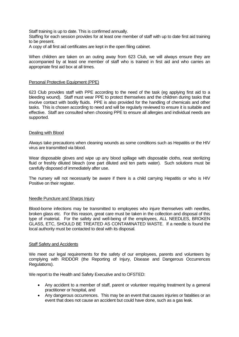Staff training is up to date. This is confirmed annually.

Staffing for each session provides for at least one member of staff with up to date first aid training to be present.

A copy of all first aid certificates are kept in the open filing cabinet.

When children are taken on an outing away from 623 Club, we will always ensure they are accompanied by at least one member of staff who is trained in first aid and who carries an appropriate first aid box at all times.

#### Personal Protective Equipment (PPE)

623 Club provides staff with PPE according to the need of the task (eg applying first aid to a bleeding wound). Staff must wear PPE to protect themselves and the children during tasks that involve contact with bodily fluids. PPE is also provided for the handling of chemicals and other tasks. This is chosen according to need and will be regularly reviewed to ensure it is suitable and effective. Staff are consulted when choosing PPE to ensure all allergies and individual needs are supported.

#### Dealing with Blood

Always take precautions when cleaning wounds as some conditions such as Hepatitis or the HIV virus are transmitted via blood.

Wear disposable gloves and wipe up any blood spillage with disposable cloths, neat sterilizing fluid or freshly diluted bleach (one part diluted and ten parts water). Such solutions must be carefully disposed of immediately after use.

The nursery will not necessarily be aware if there is a child carrying Hepatitis or who is HIV Positive on their register.

#### Needle Puncture and Sharps Injury

Blood-borne infections may be transmitted to employees who injure themselves with needles, broken glass etc. For this reason, great care must be taken in the collection and disposal of this type of material. For the safety and well-being of the employees, ALL NEEDLES, BROKEN GLASS, ETC, SHOULD BE TREATED AS CONTAMINATED WASTE. If a needle is found the local authority must be contacted to deal with its disposal.

#### Staff Safety and Accidents

We meet our legal requirements for the safety of our employees, parents and volunteers by complying with RIDDOR (the Reporting of Injury, Disease and Dangerous Occurrences Regulations).

We report to the Health and Safety Executive and to OFSTED:

- Any accident to a member of staff, parent or volunteer requiring treatment by a general practitioner or hospital, and
- Any dangerous occurrences. This may be an event that causes injuries or fatalities or an event that does not cause an accident but could have done, such as a gas leak.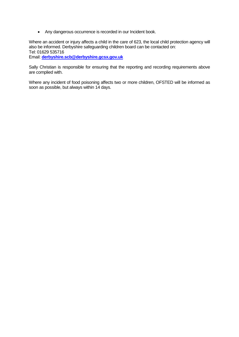• Any dangerous occurrence is recorded in our Incident book.

Where an accident or injury affects a child in the care of 623, the local child protection agency will also be informed. Derbyshire safeguarding children board can be contacted on: Tel: 01629 535716 Email: **[derbyshire.scb@derbyshire.gcsx.gov.uk](mailto:derbyshire.scb@derbyshire.gcsx.gov.uk)**

Sally Christian is responsible for ensuring that the reporting and recording requirements above are complied with.

Where any incident of food poisoning affects two or more children, OFSTED will be informed as soon as possible, but always within 14 days.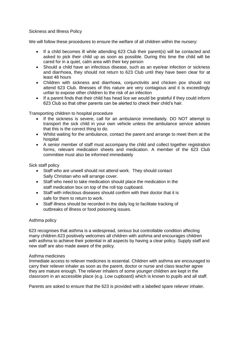Sickness and Illness Policy

We will follow these procedures to ensure the welfare of all children within the nursery:

- If a child becomes ill while attending 623 Club their parent(s) will be contacted and asked to pick their child up as soon as possible. During this time the child will be cared for in a quiet, calm area with their key person
- Should a child have an infectious disease, such as an eye/ear infection or sickness and diarrhoea, they should not return to 623 Club until they have been clear for at least 48 hours
- Children with sickness and diarrhoea, conjunctivitis and chicken pox should not attend 623 Club. Illnesses of this nature are very contagious and it is exceedingly unfair to expose other children to the risk of an infection
- If a parent finds that their child has head lice we would be grateful if they could inform 623 Club so that other parents can be alerted to check their child's hair.

Transporting children to hospital procedure

- If the sickness is severe, call for an ambulance immediately. DO NOT attempt to transport the sick child in your own vehicle unless the ambulance service advises that this is the correct thing to do.
- Whilst waiting for the ambulance, contact the parent and arrange to meet them at the hospital
- A senior member of staff must accompany the child and collect together registration forms, relevant medication sheets and medication. A member of the 623 Club committee must also be informed immediately

Sick staff policy

- Staff who are unwell should not attend work. They should contact Sally Christian who will arrange cover.
- Staff who need to take medication should place the medication in the staff medication box on top of the roll top cupboard.
- Staff with infectious diseases should confirm with their doctor that it is safe for them to return to work.
- Staff illness should be recorded in the daily log to facilitate tracking of outbreaks of illness or food poisoning issues.

# Asthma policy

623 recognises that asthma is a widespread, serious but controllable condition affecting many children.623 positively welcomes all children with asthma and encourages children with asthma to achieve their potential in all aspects by having a clear policy. Supply staff and new staff are also made aware of the policy.

#### Asthma medicines

Immediate access to reliever medicines is essential. Children with asthma are encouraged to carry their reliever inhaler as soon as the parent, doctor or nurse and class teacher agree they are mature enough. The reliever inhalers of some younger children are kept in the classroom in an accessible place (e.g. Low cupboard) which is known to pupils and all staff.

Parents are asked to ensure that the 623 is provided with a labelled spare reliever inhaler.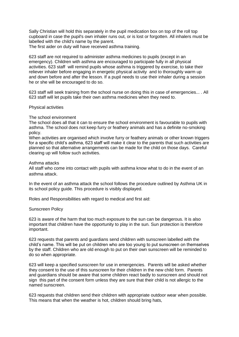Sally Christian will hold this separately in the pupil medication box on top of the roll top cupboard in case the pupil's own inhaler runs out, or is lost or forgotten. All inhalers must be labelled with the child's name by the parent.

The first aider on duty will have received asthma training.

623 staff are not required to administer asthma medicines to pupils (except in an emergency). Children with asthma are encouraged to participate fully in all physical activities. 623 staff will remind pupils whose asthma is triggered by exercise, to take their reliever inhaler before engaging in energetic physical activity and to thoroughly warm up and down before and after the lesson. If a pupil needs to use their inhaler during a session he or she will be encouraged to do so.

623 staff will seek training from the school nurse on doing this in case of emergencies... . All 623 staff will let pupils take their own asthma medicines when they need to.

#### Physical activities

#### The school environment

The school does all that it can to ensure the school environment is favourable to pupils with asthma. The school does not keep furry or feathery animals and has a definite no-smoking policy.

When activities are organised which involve furry or feathery animals or other known triggers for a specific child's asthma, 623 staff will make it clear to the parents that such activities are planned so that alternative arrangements can be made for the child on those days. Careful clearing up will follow such activities.

#### Asthma attacks

All staff who come into contact with pupils with asthma know what to do in the event of an asthma attack.

In the event of an asthma attack the school follows the procedure outlined by Asthma UK in its school policy guide. This procedure is visibly displayed.

Roles and Responsibilities with regard to medical and first aid:

#### Sunscreen Policy

623 is aware of the harm that too much exposure to the sun can be dangerous. It is also important that children have the opportunity to play in the sun. Sun protection is therefore important.

623 requests that parents and guardians send children with sunscreen labelled with the child's name. This will be put on children who are too young to put sunscreen on themselves by the staff. Children who are old enough to put on their own sunscreen will be reminded to do so when appropriate.

623 will keep a specified sunscreen for use in emergencies. Parents will be asked whether they consent to the use of this sunscreen for their children in the new child form. Parents and guardians should be aware that some children react badly to sunscreen and should not sign this part of the consent form unless they are sure that their child is not allergic to the named sunscreen.

623 requests that children send their children with appropriate outdoor wear when possible. This means that when the weather is hot, children should bring hats,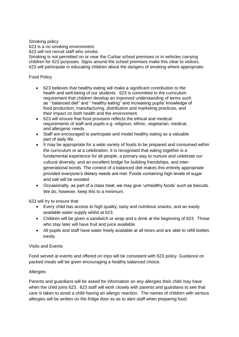Smoking policy

623 is a no smoking environment.

623 will not recruit staff who smoke.

Smoking is not permitted on or near the Curbar school premises or in vehicles carrying children for 623 purposes. Signs around the school premises make this clear to visitors. 623 will participate in educating children about the dangers of smoking where appropriate.

# Food Policy

- 623 believes that healthy eating will make a significant contribution to the health and well-being of our students. 623 is committed to the curriculum requirement that children develop an improved understanding of terms such as " balanced diet" and " healthy eating" and increasing pupils' knowledge of food production, manufacturing, distribution and marketing practices, and their impact on both health and the environment.
- 623 will ensure that food provision reflects the ethical and medical requirements of staff and pupils e.g. religious, ethnic, vegetarian, medical, and allergenic needs.
- Staff are encouraged to participate and model healthy eating as a valuable part of daily life.
- It may be appropriate for a wide variety of foods to be prepared and consumed within the curriculum or at a celebration. It is recognised that eating together is a fundamental experience for all people; a primary way to nurture and celebrate our cultural diversity; and an excellent bridge for building friendships, and intergenerational bonds. The context of a balanced diet makes this entirely appropriate provided everyone's dietary needs are met. Foods containing high levels of sugar and salt will be avoided.
- Occasionally, as part of a class treat, we may give 'unhealthy foods' such as biscuits. We do, however, keep this to a minimum.

623 will try to ensure that:

- Every child has access to high quality, tasty and nutritious snacks, and an easily available water supply whilst at 623.
- Children will be given a sandwich or wrap and a drink at the beginning of 623. Those who stay later will have fruit and juice available.
- All pupils and staff have water freely available at all times and are able to refill bottles easily.

# Visits and Events

Food served at events and offered on trips will be consistent with 623 policy. Guidance on packed meals will be given encouraging a healthy balanced choice.

# **Allergies**

Parents and guardians will be asked for information on any allergies their child may have when the child joins 623. 623 staff will work closely with parents and guardians to see that care is taken to avoid a child having an allergic reaction. The names of children with serious allergies will be written on the fridge door so as to alert staff when preparing food.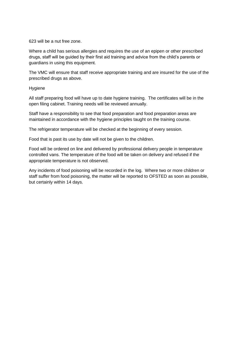#### 623 will be a nut free zone.

Where a child has serious allergies and requires the use of an epipen or other prescribed drugs, staff will be guided by their first aid training and advice from the child's parents or guardians in using this equipment.

The VMC will ensure that staff receive appropriate training and are insured for the use of the prescribed drugs as above.

# Hygiene

All staff preparing food will have up to date hygiene training. The certificates will be in the open filing cabinet. Training needs will be reviewed annually.

Staff have a responsibility to see that food preparation and food preparation areas are maintained in accordance with the hygiene principles taught on the training course.

The refrigerator temperature will be checked at the beginning of every session.

Food that is past its use by date will not be given to the children.

Food will be ordered on line and delivered by professional delivery people in temperature controlled vans. The temperature of the food will be taken on delivery and refused if the appropriate temperature is not observed.

Any incidents of food poisoning will be recorded in the log. Where two or more children or staff suffer from food poisoning, the matter will be reported to OFSTED as soon as possible, but certainly within 14 days.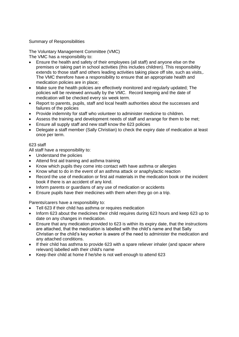Summary of Responsibilities

The Voluntary Management Committee (VMC) The VMC has a responsibility to:

- Ensure the health and safety of their employees (all staff) and anyone else on the premises or taking part in school activities (this includes children). This responsibility extends to those staff and others leading activities taking place off site, such as visits,. The VMC therefore have a responsibility to ensure that an appropriate health and medication policies are in place;
- Make sure the health policies are effectively monitored and regularly updated; The policies will be reviewed annually by the VMC. Record keeping and the date of medication will be checked every six week term.
- Report to parents, pupils, staff and local health authorities about the successes and failures of the policies
- Provide indemnity for staff who volunteer to administer medicine to children.
- Assess the training and development needs of staff and arrange for them to be met;
- Ensure all supply staff and new staff know the 623 policies
- Delegate a staff member (Sally Christian) to check the expiry date of medication at least once per term.

# 623 staff

All staff have a responsibility to:

- Understand the policies
- Attend first aid training and asthma training
- Know which pupils they come into contact with have asthma or allergies
- Know what to do in the event of an asthma attack or anaphylactic reaction
- Record the use of medication or first aid materials in the medication book or the incident book if there is an accident of any kind.
- Inform parents or guardians of any use of medication or accidents
- Ensure pupils have their medicines with them when they go on a trip.

Parents/carers have a responsibility to:

- Tell 623 if their child has asthma or requires medication
- Inform 623 about the medicines their child requires during 623 hours and keep 623 up to date on any changes in medication.
- Ensure that any medication provided to 623 is within its expiry date, that the instructions are attached, that the medication is labelled with the child's name and that Sally Christian or the child's key worker is aware of the need to administer the medication and any attached conditions.
- If their child has asthma to provide 623 with a spare reliever inhaler (and spacer where relevant) labelled with their child's name
- Keep their child at home if he/she is not well enough to attend 623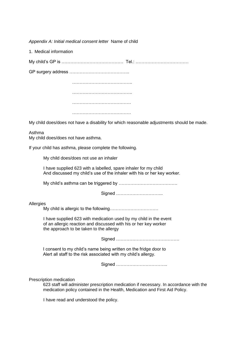*Appendix A: Initial medical consent letter* Name of child

1. Medical information

My child's GP is …………………………………… Tel.: ………………………………

GP surgery address …………………………………..

………………………………….. ………………………………….. …………………………………. ………………………………….

My child does/does not have a disability for which reasonable adjustments should be made.

Asthma My child does/does not have asthma.

If your child has asthma, please complete the following.

My child does/does not use an inhaler

I have supplied 623 with a labelled, spare inhaler for my child And discussed my child's use of the inhaler with his or her key worker.

My child's asthma can be triggered by ………………………………….

Signed …………………………..

#### Allergies

My child is allergic to the following……………………………

I have supplied 623 with medication used by my child in the event of an allergic reaction and discussed with his or her key worker the approach to be taken to the allergy

Signed …………………………………….

I consent to my child's name being written on the fridge door to Alert all staff to the risk associated with my child's allergy.

Signed ……………………………..

Prescription medication

623 staff will administer prescription medication if necessary. In accordance with the medication policy contained in the Health, Medication and First Aid Policy.

I have read and understood the policy.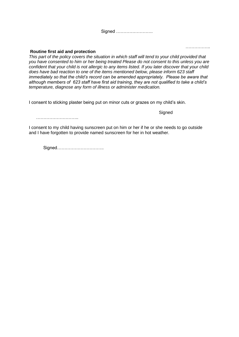#### **Routine first aid and protection**

*This part of the policy covers the situation in which staff will tend to your child provided that you have consented to him or her being treated Please do not consent to this unless you are confident that your child is not allergic to any items listed. If you later discover that your child does have bad reaction to one of the items mentioned below, please inform 623 staff immediately so that the child's record can be amended appropriately. Please be aware that although members of 623 staff have first aid training, they are not qualified to take a child's temperature, diagnose any form of illness or administer medication.*

I consent to sticking plaster being put on minor cuts or grazes on my child's skin.

………………………………

I consent to my child having sunscreen put on him or her if he or she needs to go outside and I have forgotten to provide named sunscreen for her in hot weather.

Signed…………………………..

…………………

**Signed**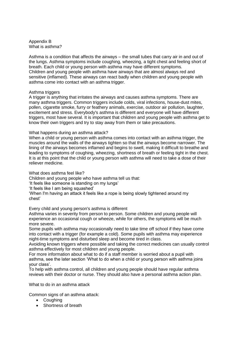Appendix B What is asthma?

Asthma is a condition that affects the airways – the small tubes that carry air in and out of the lungs. Asthma symptoms include coughing, wheezing, a tight chest and feeling short of breath. Each child or young person with asthma may have different symptoms. Children and young people with asthma have airways that are almost always red and sensitive (inflamed). These airways can react badly when children and young people with asthma come into contact with an asthma trigger.

#### Asthma triggers

A trigger is anything that irritates the airways and causes asthma symptoms. There are many asthma triggers. Common triggers include colds, viral infections, house-dust mites, pollen, cigarette smoke, furry or feathery animals, exercise, outdoor air pollution, laughter, excitement and stress. Everybody's asthma is different and everyone will have different triggers, most have several. It is important that children and young people with asthma get to know their own triggers and try to stay away from them or take precautions.

#### What happens during an asthma attack?

When a child or young person with asthma comes into contact with an asthma trigger, the muscles around the walls of the airways tighten so that the airways become narrower. The lining of the airways becomes inflamed and begins to swell, making it difficult to breathe and leading to symptoms of coughing, wheezing, shortness of breath or feeling tight in the chest. It is at this point that the child or young person with asthma will need to take a dose of their reliever medicine.

What does asthma feel like?

Children and young people who have asthma tell us that:

'It feels like someone is standing on my lungs'

'It feels like I am being squashed'

'When I'm having an attack it feels like a rope is being slowly tightened around my chest'

Every child and young person's asthma is different

Asthma varies in severity from person to person. Some children and young people will experience an occasional cough or wheeze, while for others, the symptoms will be much more severe.

Some pupils with asthma may occasionally need to take time off school if they have come into contact with a trigger (for example a cold). Some pupils with asthma may experience night-time symptoms and disturbed sleep and become tired in class.

Avoiding known triggers where possible and taking the correct medicines can usually control asthma effectively for most children and young people.

For more information about what to do if a staff member is worried about a pupil with asthma, see the later section 'What to do when a child or young person with asthma joins your class'.

To help with asthma control, all children and young people should have regular asthma reviews with their doctor or nurse. They should also have a personal asthma action plan.

What to do in an asthma attack

Common signs of an asthma attack:

- Coughing
- Shortness of breath